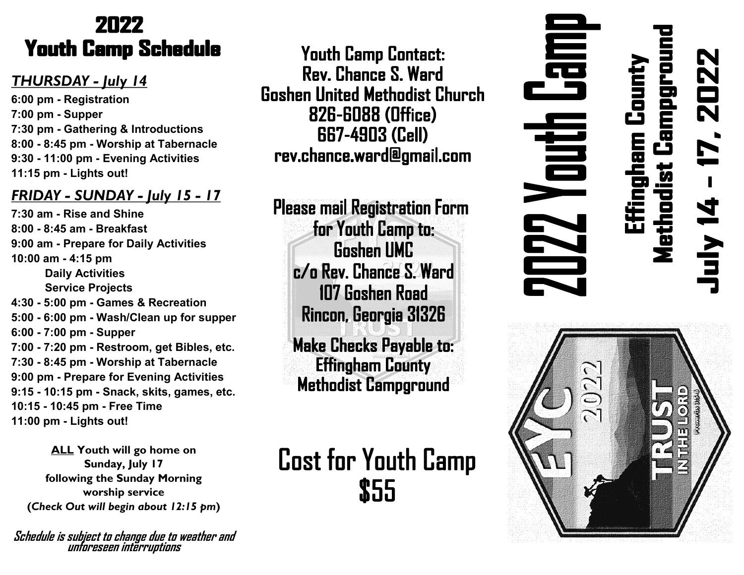### 2022 **Youth Camp Schedule**

### *THURSDAY - July 14*

**6:00 pm - Registration 7:00 pm - Supper 7:30 pm - Gathering & Introductions 8:00 - 8:45 pm - Worship at Tabernacle 9:30 - 11:00 pm - Evening Activities 11:15 pm - Lights out!**

### *FRIDAY - SUNDAY - July 15 - 17*

**7:30 am - Rise and Shine 8:00 - 8:45 am - Breakfast 9:00 am - Prepare for Daily Activities 10:00 am - 4:15 pm Daily Activities Service Projects 4:30 - 5:00 pm - Games & Recreation 5:00 - 6:00 pm - Wash/Clean up for supper 6:00 - 7:00 pm - Supper 7:00 - 7:20 pm - Restroom, get Bibles, etc. 7:30 - 8:45 pm - Worship at Tabernacle 9:00 pm - Prepare for Evening Activities 9:15 - 10:15 pm - Snack, skits, games, etc. 10:15 - 10:45 pm - Free Time 11:00 pm - Lights out!**

**ALL Youth will go home on Sunday, July 17 following the Sunday Morning worship service (***Check Out will begin about 12:15 pm***)**

**Schedule is subject to change due to weather and unforeseen interruptions**

**Youth Camp Contact:** Rev. Chance S. Ward **Goshen United Methodist Church 826-6088 (Office) 667-4903 (Cell)** rev.chance.ward@gmail.com

**Please mail Registration Form** for Youth Camp to: **Goshen UMC** c/o Rev. Chance S. Ward 107 Goshen Road Rincon, Georgia 31326

**Make Checks Payable to: Effingham County Methodist Campground** 

**Cost for Youth Camp** \$55

## 高 **ZO22** ethodist Campgro :ffingham Count 自己 **LA**